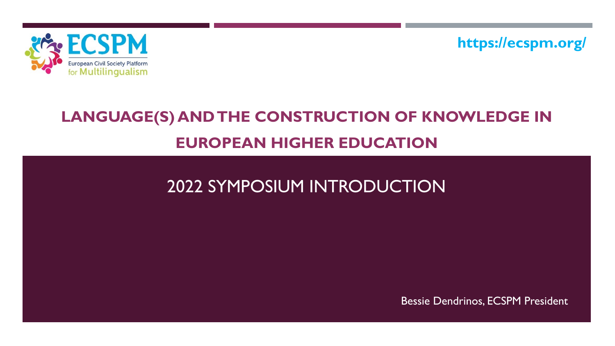

**https://ecspm.org/**

# **LANGUAGE(S) AND THE CONSTRUCTION OF KNOWLEDGE IN EUROPEAN HIGHER EDUCATION**

# 2022 SYMPOSIUM INTRODUCTION

Bessie Dendrinos, ECSPM President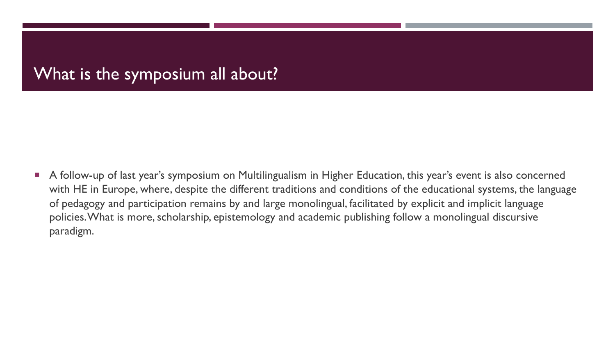## What is the symposium all about?

■ A follow-up of last year's symposium on Multilingualism in Higher Education, this year's event is also concerned with HE in Europe, where, despite the different traditions and conditions of the educational systems, the language of pedagogy and participation remains by and large monolingual, facilitated by explicit and implicit language policies. What is more, scholarship, epistemology and academic publishing follow a monolingual discursive paradigm.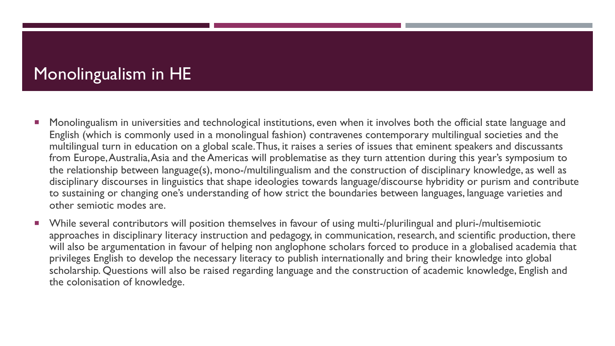## Monolingualism in HE

- **Monolingualism in universities and technological institutions, even when it involves both the official state language and** English (which is commonly used in a monolingual fashion) contravenes contemporary multilingual societies and the multilingual turn in education on a global scale. Thus, it raises a series of issues that eminent speakers and discussants from Europe, Australia, Asia and the Americas will problematise as they turn attention during this year's symposium to the relationship between language(s), mono-/multilingualism and the construction of disciplinary knowledge, as well as disciplinary discourses in linguistics that shape ideologies towards language/discourse hybridity or purism and contribute to sustaining or changing one's understanding of how strict the boundaries between languages, language varieties and other semiotic modes are.
- ¡ While several contributors will position themselves in favour of using multi-/plurilingual and pluri-/multisemiotic approaches in disciplinary literacy instruction and pedagogy, in communication, research, and scientific production, there will also be argumentation in favour of helping non anglophone scholars forced to produce in a globalised academia that privileges English to develop the necessary literacy to publish internationally and bring their knowledge into global scholarship. Questions will also be raised regarding language and the construction of academic knowledge, English and the colonisation of knowledge.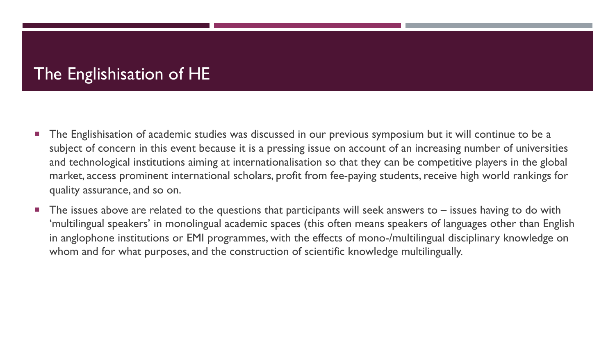## The Englishisation of HE

- The Englishisation of academic studies was discussed in our previous symposium but it will continue to be a subject of concern in this event because it is a pressing issue on account of an increasing number of universities and technological institutions aiming at internationalisation so that they can be competitive players in the global market, access prominent international scholars, profit from fee-paying students, receive high world rankings for quality assurance, and so on.
- The issues above are related to the questions that participants will seek answers to  $-$  issues having to do with 'multilingual speakers' in monolingual academic spaces (this often means speakers of languages other than English in anglophone institutions or EMI programmes, with the effects of mono-/multilingual disciplinary knowledge on whom and for what purposes, and the construction of scientific knowledge multilingually.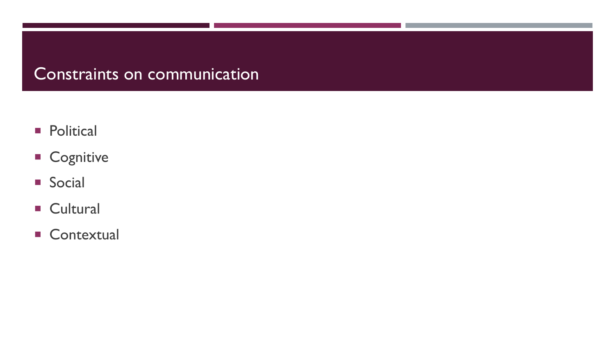## Constraints on communication

- **•** Political
- **E** Cognitive
- Social
- Cultural
- **E** Contextual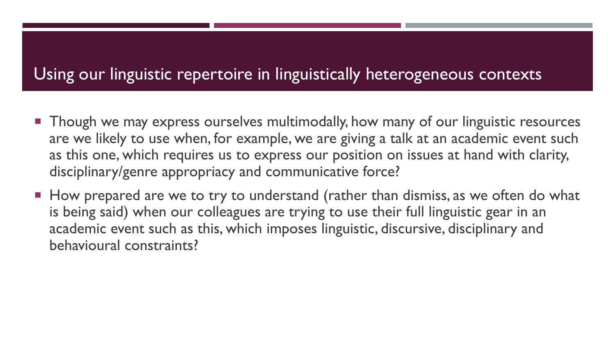### Using our linguistic repertoire in linguistically heterogeneous contexts

- **Though we may express ourselves multimodally, how many of our linguistic resources** are we likely to use when, for example, we are giving a talk at an academic event such as this one, which requires us to express our position on issues at hand with clarity, disciplinary/genre appropriacy and communicative force?
- How prepared are we to try to understand (rather than dismiss, as we often do what is being said) when our colleagues are trying to use their full linguistic gear in an academic event such as this, which imposes linguistic, discursive, disciplinary and behavioural constraints?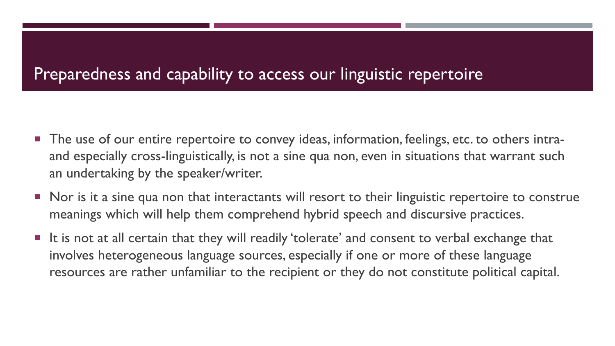## Preparedness and capability to access our linguistic repertoire

- The use of our entire repertoire to convey ideas, information, feelings, etc. to others intraand especially cross-linguistically, is not a sine qua non, even in situations that warrant such an undertaking by the speaker/writer.
- Nor is it a sine qua non that interactants will resort to their linguistic repertoire to construe meanings which will help them comprehend hybrid speech and discursive practices.
- $\blacksquare$  It is not at all certain that they will readily 'tolerate' and consent to verbal exchange that involves heterogeneous language sources, especially if one or more of these language resources are rather unfamiliar to the recipient or they do not constitute political capital.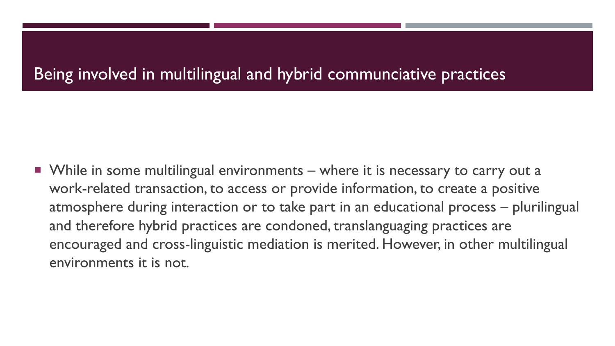## Being involved in multilingual and hybrid communciative practices

■ While in some multilingual environments – where it is necessary to carry out a work-related transaction, to access or provide information, to create a positive atmosphere during interaction or to take part in an educational process – plurilingual and therefore hybrid practices are condoned, translanguaging practices are encouraged and cross-linguistic mediation is merited. However, in other multilingual environments it is not.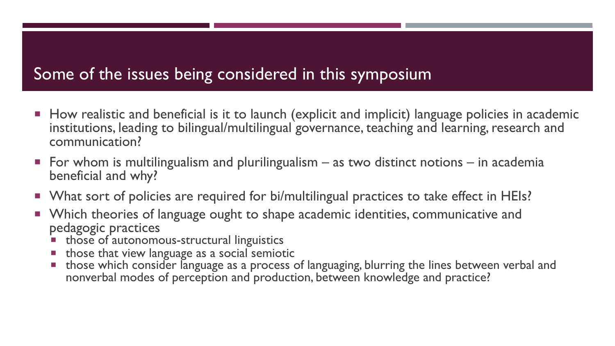## Some of the issues being considered in this symposium

- How realistic and beneficial is it to launch (explicit and implicit) language policies in academic institutions, leading to bilingual/multilingual governance, teaching and learning, research and communication?
- $\blacksquare$  For whom is multilingualism and plurilingualism as two distinct notions in academia beneficial and why?
- What sort of policies are required for bi/multilingual practices to take effect in HEIs?
- **Which theories of language ought to shape academic identities, communicative and** pedagogic practices
	- ¡ those of autonomous-structural linguistics
	- **those that view language as a social semiotic**
	- those which consider language as a process of languaging, blurring the lines between verbal and nonverbal modes of perception and production, between knowledge and practice?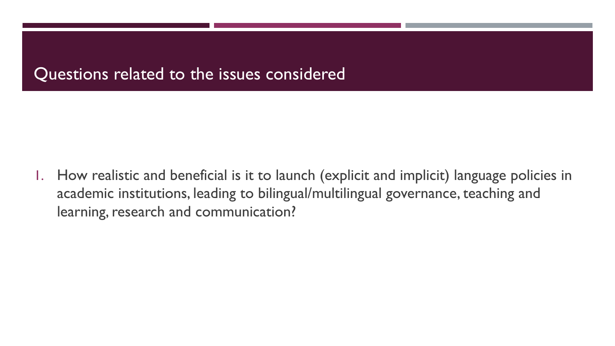#### Questions related to the issues considered

1. How realistic and beneficial is it to launch (explicit and implicit) language policies in academic institutions, leading to bilingual/multilingual governance, teaching and learning, research and communication?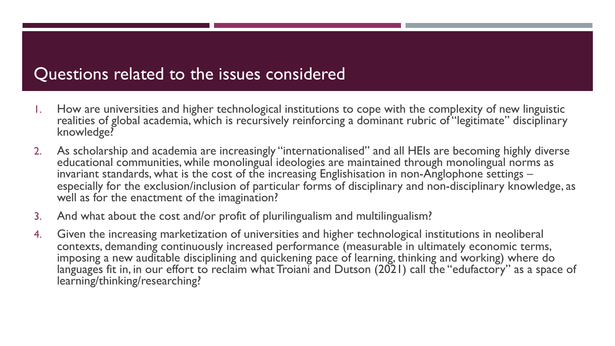#### Questions related to the issues considered

- 1. How are universities and higher technological institutions to cope with the complexity of new linguistic realities of global academia, which is recursively reinforcing a dominant rubric of "legitimate" disciplinary knowledge?
- 2. As scholarship and academia are increasingly "internationalised" and all HEIs are becoming highly diverse educational communities, while monolingual ideologies are maintained through monolingual norms as<br>invariant standards, what is the cost of the increasing Englishisation in non-Anglophone settings – especially for the exclusion/inclusion of particular forms of disciplinary and non-disciplinary knowledge, as well as for the enactment of the imagination?
- 3. And what about the cost and/or profit of plurilingualism and multilingualism?
- 4. Given the increasing marketization of universities and higher technological institutions in neoliberal contexts, demanding continuously increased performance (measurable in ultimately economic terms, imposing a new auditable disciplining and quickening pace of learning, thinking and working) where do languages fit in, in our effort to reclaim what Troiani and Dutson (2021) call the "edufactory" as a space of learning/thinking/researching?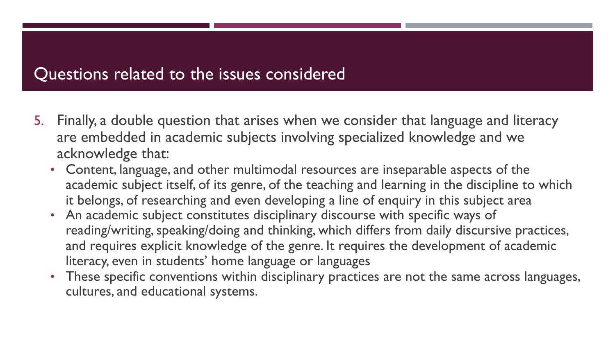#### Questions related to the issues considered

- 5. Finally, a double question that arises when we consider that language and literacy are embedded in academic subjects involving specialized knowledge and we acknowledge that:
	- Content, language, and other multimodal resources are inseparable aspects of the academic subject itself, of its genre, of the teaching and learning in the discipline to which it belongs, of researching and even developing a line of enquiry in this subject area
	- An academic subject constitutes disciplinary discourse with specific ways of reading/writing, speaking/doing and thinking, which differs from daily discursive practices, and requires explicit knowledge of the genre. It requires the development of academic literacy, even in students' home language or languages
	- These specific conventions within disciplinary practices are not the same across languages, cultures, and educational systems.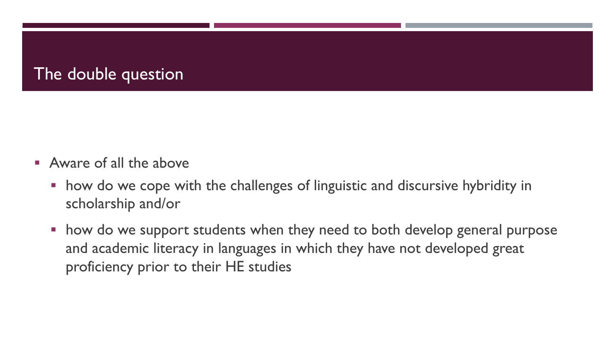## The double question

- **E** Aware of all the above
	- how do we cope with the challenges of linguistic and discursive hybridity in scholarship and/or
	- how do we support students when they need to both develop general purpose and academic literacy in languages in which they have not developed great proficiency prior to their HE studies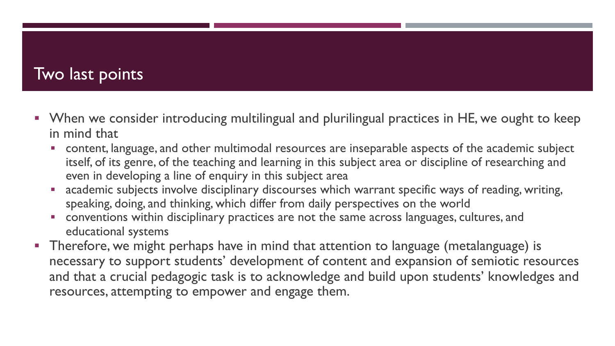## Two last points

- When we consider introducing multilingual and plurilingual practices in HE, we ought to keep in mind that
	- **•** content, language, and other multimodal resources are inseparable aspects of the academic subject itself, of its genre, of the teaching and learning in this subject area or discipline of researching and even in developing a line of enquiry in this subject area
	- academic subjects involve disciplinary discourses which warrant specific ways of reading, writing, speaking, doing, and thinking, which differ from daily perspectives on the world
	- **conventions within disciplinary practices are not the same across languages, cultures, and** educational systems
- Therefore, we might perhaps have in mind that attention to language (metalanguage) is necessary to support students' development of content and expansion of semiotic resources and that a crucial pedagogic task is to acknowledge and build upon students' knowledges and resources, attempting to empower and engage them.